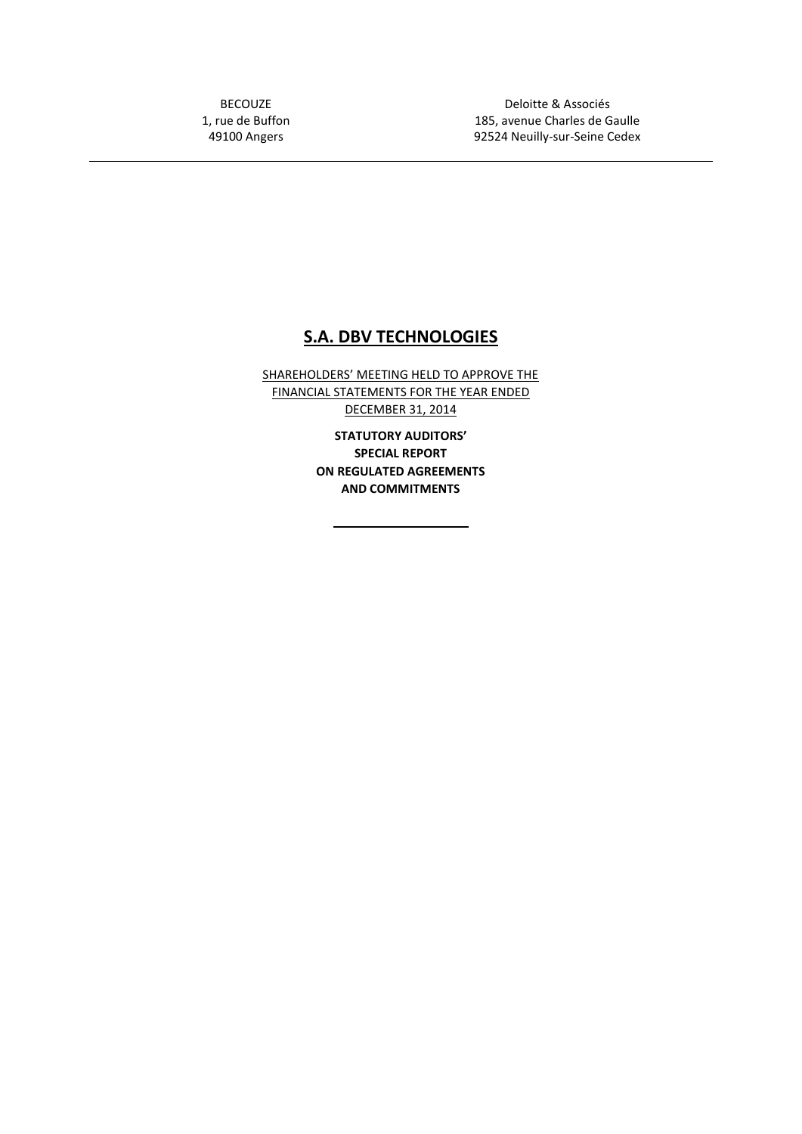BECOUZE 1, rue de Buffon 49100 Angers

Deloitte & Associés 185, avenue Charles de Gaulle 92524 Neuilly-sur-Seine Cedex

# **S.A. DBV TECHNOLOGIES**

SHAREHOLDERS' MEETING HELD TO APPROVE THE FINANCIAL STATEMENTS FOR THE YEAR ENDED DECEMBER 31, 2014

> **STATUTORY AUDITORS' SPECIAL REPORT ON REGULATED AGREEMENTS AND COMMITMENTS**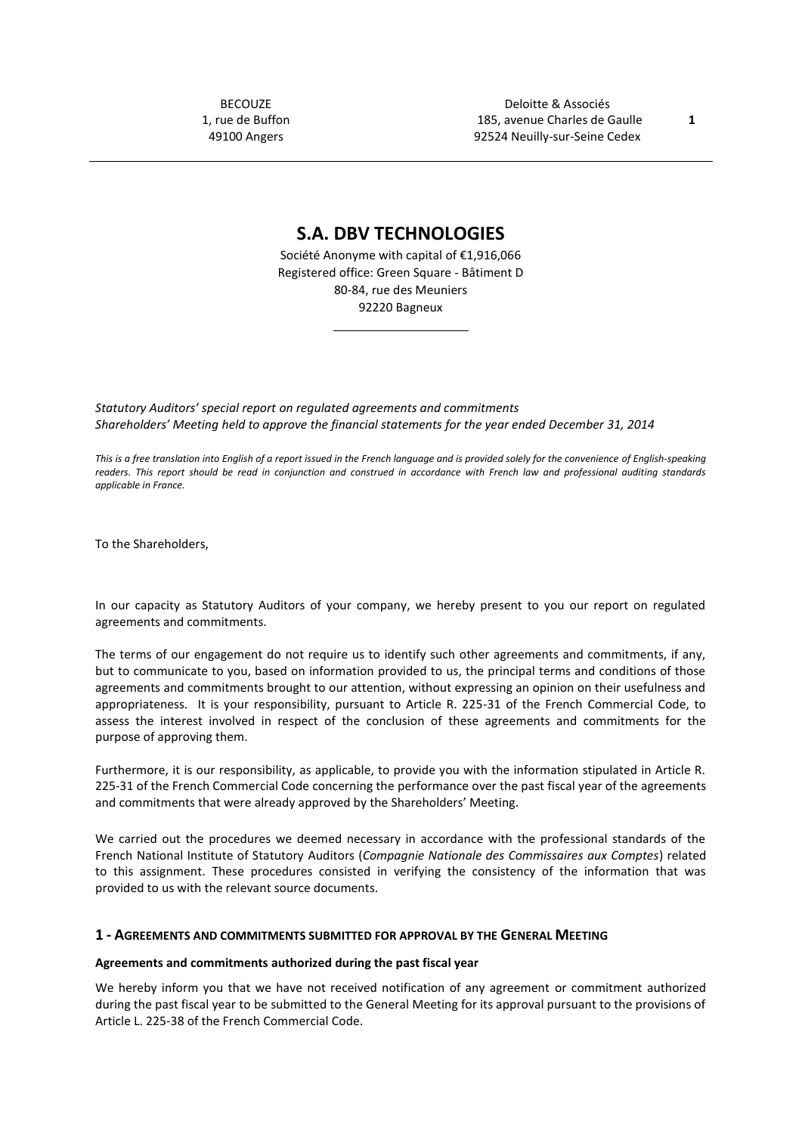BECOUZE 1, rue de Buffon 49100 Angers

Deloitte & Associés 185, avenue Charles de Gaulle **1** 92524 Neuilly-sur-Seine Cedex

**S.A. DBV TECHNOLOGIES**

Société Anonyme with capital of €1,916,066 Registered office: Green Square - Bâtiment D 80-84, rue des Meuniers 92220 Bagneux

*Statutory Auditors' special report on regulated agreements and commitments Shareholders' Meeting held to approve the financial statements for the year ended December 31, 2014*

This is a free translation into English of a report issued in the French language and is provided solely for the convenience of English-speaking *readers. This report should be read in conjunction and construed in accordance with French law and professional auditing standards applicable in France.*

To the Shareholders,

In our capacity as Statutory Auditors of your company, we hereby present to you our report on regulated agreements and commitments.

The terms of our engagement do not require us to identify such other agreements and commitments, if any, but to communicate to you, based on information provided to us, the principal terms and conditions of those agreements and commitments brought to our attention, without expressing an opinion on their usefulness and appropriateness. It is your responsibility, pursuant to Article R. 225-31 of the French Commercial Code, to assess the interest involved in respect of the conclusion of these agreements and commitments for the purpose of approving them.

Furthermore, it is our responsibility, as applicable, to provide you with the information stipulated in Article R. 225-31 of the French Commercial Code concerning the performance over the past fiscal year of the agreements and commitments that were already approved by the Shareholders' Meeting.

We carried out the procedures we deemed necessary in accordance with the professional standards of the French National Institute of Statutory Auditors (*Compagnie Nationale des Commissaires aux Comptes*) related to this assignment. These procedures consisted in verifying the consistency of the information that was provided to us with the relevant source documents.

#### **1 - AGREEMENTS AND COMMITMENTS SUBMITTED FOR APPROVAL BY THE GENERAL MEETING**

#### **Agreements and commitments authorized during the past fiscal year**

We hereby inform you that we have not received notification of any agreement or commitment authorized during the past fiscal year to be submitted to the General Meeting for its approval pursuant to the provisions of Article L. 225-38 of the French Commercial Code.